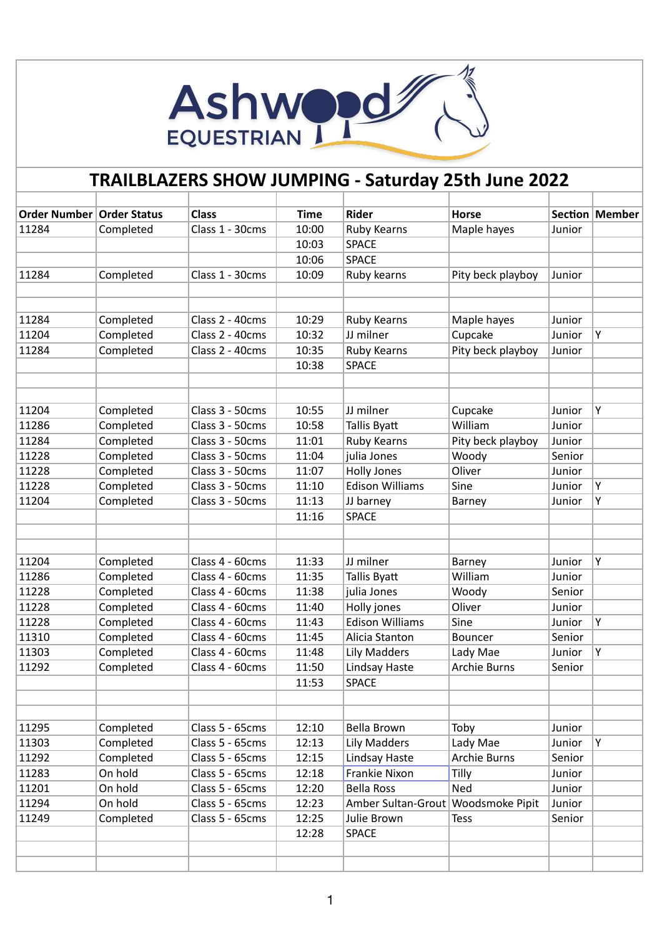

## **TRAILBLAZERS SHOW JUMPING - Saturday 25th June 2022**

| Order Number   Order Status |           | <b>Class</b>    | <b>Time</b> | <b>Rider</b>                         | <b>Horse</b>        |        | Section   Member |
|-----------------------------|-----------|-----------------|-------------|--------------------------------------|---------------------|--------|------------------|
| 11284                       | Completed | Class 1 - 30cms | 10:00       | <b>Ruby Kearns</b>                   | Maple hayes         | Junior |                  |
|                             |           |                 | 10:03       | <b>SPACE</b>                         |                     |        |                  |
|                             |           |                 | 10:06       | <b>SPACE</b>                         |                     |        |                  |
| 11284                       | Completed | Class 1 - 30cms | 10:09       | Ruby kearns                          | Pity beck playboy   | Junior |                  |
|                             |           |                 |             |                                      |                     |        |                  |
|                             |           |                 |             |                                      |                     |        |                  |
| 11284                       | Completed | Class 2 - 40cms | 10:29       | <b>Ruby Kearns</b>                   | Maple hayes         | Junior |                  |
| 11204                       | Completed | Class 2 - 40cms | 10:32       | JJ milner                            | Cupcake             | Junior | Y                |
| 11284                       | Completed | Class 2 - 40cms | 10:35       | <b>Ruby Kearns</b>                   | Pity beck playboy   | Junior |                  |
|                             |           |                 | 10:38       | <b>SPACE</b>                         |                     |        |                  |
|                             |           |                 |             |                                      |                     |        |                  |
|                             |           |                 |             |                                      |                     |        |                  |
| 11204                       | Completed | Class 3 - 50cms | 10:55       | JJ milner                            | Cupcake             | Junior | Υ                |
| 11286                       | Completed | Class 3 - 50cms | 10:58       | Tallis Byatt                         | William             | Junior |                  |
| 11284                       | Completed | Class 3 - 50cms | 11:01       | Ruby Kearns                          | Pity beck playboy   | Junior |                  |
| 11228                       | Completed | Class 3 - 50cms | 11:04       | julia Jones                          | Woody               | Senior |                  |
| 11228                       | Completed | Class 3 - 50cms | 11:07       | <b>Holly Jones</b>                   | Oliver              | Junior |                  |
| 11228                       | Completed | Class 3 - 50cms | 11:10       | <b>Edison Williams</b>               | Sine                | Junior | Y                |
| 11204                       | Completed | Class 3 - 50cms | 11:13       | JJ barney                            | Barney              | Junior | Υ                |
|                             |           |                 | 11:16       | <b>SPACE</b>                         |                     |        |                  |
|                             |           |                 |             |                                      |                     |        |                  |
|                             |           |                 |             |                                      |                     |        |                  |
| 11204                       | Completed | Class 4 - 60cms | 11:33       | JJ milner                            | Barney              | Junior | Υ                |
| 11286                       | Completed | Class 4 - 60cms | 11:35       | Tallis Byatt                         | William             | Junior |                  |
| 11228                       | Completed | Class 4 - 60cms | 11:38       | julia Jones                          | Woody               | Senior |                  |
| 11228                       | Completed | Class 4 - 60cms | 11:40       | Holly jones                          | Oliver              | Junior |                  |
| 11228                       | Completed | Class 4 - 60cms | 11:43       | <b>Edison Williams</b>               | Sine                | Junior | Y                |
| 11310                       | Completed | Class 4 - 60cms | 11:45       | Alicia Stanton                       | Bouncer             | Senior |                  |
| 11303                       | Completed | Class 4 - 60cms | 11:48       | <b>Lily Madders</b>                  | Lady Mae            | Junior | Υ                |
| 11292                       | Completed | Class 4 - 60cms | 11:50       | Lindsay Haste                        | <b>Archie Burns</b> | Senior |                  |
|                             |           |                 | 11:53       | <b>SPACE</b>                         |                     |        |                  |
|                             |           |                 |             |                                      |                     |        |                  |
|                             |           |                 |             |                                      |                     |        |                  |
| 11295                       | Completed | Class 5 - 65cms | 12:10       | Bella Brown                          | Toby                | Junior |                  |
| 11303                       | Completed | Class 5 - 65cms | 12:13       | Lily Madders                         | Lady Mae            | Junior | Υ                |
| 11292                       | Completed | Class 5 - 65cms | 12:15       | Lindsay Haste                        | <b>Archie Burns</b> | Senior |                  |
| 11283                       | On hold   | Class 5 - 65cms | 12:18       | Frankie Nixon                        | Tilly               | Junior |                  |
| 11201                       | On hold   | Class 5 - 65cms | 12:20       | <b>Bella Ross</b>                    | Ned                 | Junior |                  |
| 11294                       | On hold   | Class 5 - 65cms | 12:23       | Amber Sultan-Grout   Woodsmoke Pipit |                     | Junior |                  |
| 11249                       | Completed | Class 5 - 65cms | 12:25       | Julie Brown                          | <b>Tess</b>         | Senior |                  |
|                             |           |                 | 12:28       | <b>SPACE</b>                         |                     |        |                  |
|                             |           |                 |             |                                      |                     |        |                  |
|                             |           |                 |             |                                      |                     |        |                  |
|                             |           |                 |             |                                      |                     |        |                  |